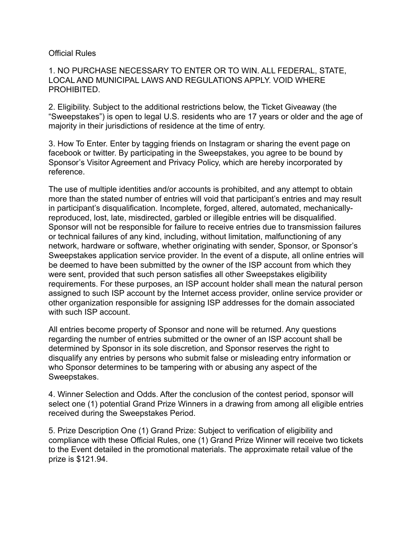## Official Rules

1. NO PURCHASE NECESSARY TO ENTER OR TO WIN. ALL FEDERAL, STATE, LOCAL AND MUNICIPAL LAWS AND REGULATIONS APPLY. VOID WHERE PROHIBITED.

2. Eligibility. Subject to the additional restrictions below, the Ticket Giveaway (the "Sweepstakes") is open to legal U.S. residents who are 17 years or older and the age of majority in their jurisdictions of residence at the time of entry.

3. How To Enter. Enter by tagging friends on Instagram or sharing the event page on facebook or twitter. By participating in the Sweepstakes, you agree to be bound by Sponsor's Visitor Agreement and Privacy Policy, which are hereby incorporated by reference.

The use of multiple identities and/or accounts is prohibited, and any attempt to obtain more than the stated number of entries will void that participant's entries and may result in participant's disqualification. Incomplete, forged, altered, automated, mechanicallyreproduced, lost, late, misdirected, garbled or illegible entries will be disqualified. Sponsor will not be responsible for failure to receive entries due to transmission failures or technical failures of any kind, including, without limitation, malfunctioning of any network, hardware or software, whether originating with sender, Sponsor, or Sponsor's Sweepstakes application service provider. In the event of a dispute, all online entries will be deemed to have been submitted by the owner of the ISP account from which they were sent, provided that such person satisfies all other Sweepstakes eligibility requirements. For these purposes, an ISP account holder shall mean the natural person assigned to such ISP account by the Internet access provider, online service provider or other organization responsible for assigning ISP addresses for the domain associated with such ISP account.

All entries become property of Sponsor and none will be returned. Any questions regarding the number of entries submitted or the owner of an ISP account shall be determined by Sponsor in its sole discretion, and Sponsor reserves the right to disqualify any entries by persons who submit false or misleading entry information or who Sponsor determines to be tampering with or abusing any aspect of the Sweepstakes.

4. Winner Selection and Odds. After the conclusion of the contest period, sponsor will select one (1) potential Grand Prize Winners in a drawing from among all eligible entries received during the Sweepstakes Period.

5. Prize Description One (1) Grand Prize: Subject to verification of eligibility and compliance with these Official Rules, one (1) Grand Prize Winner will receive two tickets to the Event detailed in the promotional materials. The approximate retail value of the prize is \$121.94.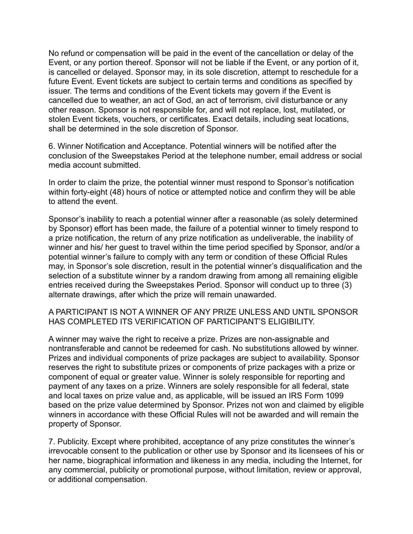No refund or compensation will be paid in the event of the cancellation or delay of the Event, or any portion thereof. Sponsor will not be liable if the Event, or any portion of it, is cancelled or delayed. Sponsor may, in its sole discretion, attempt to reschedule for a future Event. Event tickets are subject to certain terms and conditions as specified by issuer. The terms and conditions of the Event tickets may govern if the Event is cancelled due to weather, an act of God, an act of terrorism, civil disturbance or any other reason. Sponsor is not responsible for, and will not replace, lost, mutilated, or stolen Event tickets, vouchers, or certificates. Exact details, including seat locations, shall be determined in the sole discretion of Sponsor.

6. Winner Notification and Acceptance. Potential winners will be notified after the conclusion of the Sweepstakes Period at the telephone number, email address or social media account submitted.

In order to claim the prize, the potential winner must respond to Sponsor's notification within forty-eight (48) hours of notice or attempted notice and confirm they will be able to attend the event.

Sponsor's inability to reach a potential winner after a reasonable (as solely determined by Sponsor) effort has been made, the failure of a potential winner to timely respond to a prize notification, the return of any prize notification as undeliverable, the inability of winner and his/ her guest to travel within the time period specified by Sponsor, and/or a potential winner's failure to comply with any term or condition of these Official Rules may, in Sponsor's sole discretion, result in the potential winner's disqualification and the selection of a substitute winner by a random drawing from among all remaining eligible entries received during the Sweepstakes Period. Sponsor will conduct up to three (3) alternate drawings, after which the prize will remain unawarded.

A PARTICIPANT IS NOT A WINNER OF ANY PRIZE UNLESS AND UNTIL SPONSOR HAS COMPLETED ITS VERIFICATION OF PARTICIPANT'S ELIGIBILITY.

A winner may waive the right to receive a prize. Prizes are non-assignable and nontransferable and cannot be redeemed for cash. No substitutions allowed by winner. Prizes and individual components of prize packages are subject to availability. Sponsor reserves the right to substitute prizes or components of prize packages with a prize or component of equal or greater value. Winner is solely responsible for reporting and payment of any taxes on a prize. Winners are solely responsible for all federal, state and local taxes on prize value and, as applicable, will be issued an IRS Form 1099 based on the prize value determined by Sponsor. Prizes not won and claimed by eligible winners in accordance with these Official Rules will not be awarded and will remain the property of Sponsor.

7. Publicity. Except where prohibited, acceptance of any prize constitutes the winner's irrevocable consent to the publication or other use by Sponsor and its licensees of his or her name, biographical information and likeness in any media, including the Internet, for any commercial, publicity or promotional purpose, without limitation, review or approval, or additional compensation.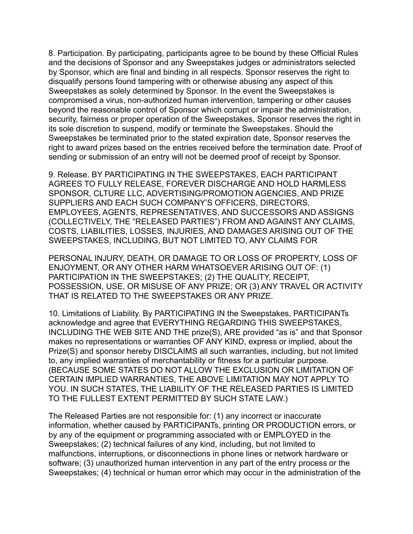8. Participation. By participating, participants agree to be bound by these Official Rules and the decisions of Sponsor and any Sweepstakes judges or administrators selected by Sponsor, which are final and binding in all respects. Sponsor reserves the right to disqualify persons found tampering with or otherwise abusing any aspect of this Sweepstakes as solely determined by Sponsor. In the event the Sweepstakes is compromised a virus, non-authorized human intervention, tampering or other causes beyond the reasonable control of Sponsor which corrupt or impair the administration, security, fairness or proper operation of the Sweepstakes, Sponsor reserves the right in its sole discretion to suspend, modify or terminate the Sweepstakes. Should the Sweepstakes be terminated prior to the stated expiration date, Sponsor reserves the right to award prizes based on the entries received before the termination date. Proof of sending or submission of an entry will not be deemed proof of receipt by Sponsor.

9. Release. BY PARTICIPATING IN THE SWEEPSTAKES, EACH PARTICIPANT AGREES TO FULLY RELEASE, FOREVER DISCHARGE AND HOLD HARMLESS SPONSOR, CLTURE LLC, ADVERTISING/PROMOTION AGENCIES, AND PRIZE SUPPLIERS AND EACH SUCH COMPANY'S OFFICERS, DIRECTORS, EMPLOYEES, AGENTS, REPRESENTATIVES, AND SUCCESSORS AND ASSIGNS (COLLECTIVELY, THE "RELEASED PARTIES") FROM AND AGAINST ANY CLAIMS, COSTS, LIABILITIES, LOSSES, INJURIES, AND DAMAGES ARISING OUT OF THE SWEEPSTAKES, INCLUDING, BUT NOT LIMITED TO, ANY CLAIMS FOR

PERSONAL INJURY, DEATH, OR DAMAGE TO OR LOSS OF PROPERTY, LOSS OF ENJOYMENT, OR ANY OTHER HARM WHATSOEVER ARISING OUT OF: (1) PARTICIPATION IN THE SWEEPSTAKES; (2) THE QUALITY, RECEIPT, POSSESSION, USE, OR MISUSE OF ANY PRIZE; OR (3) ANY TRAVEL OR ACTIVITY THAT IS RELATED TO THE SWEEPSTAKES OR ANY PRIZE.

10. Limitations of Liability. By PARTICIPATING IN the Sweepstakes, PARTICIPANTs acknowledge and agree that EVERYTHING REGARDING THIS SWEEPSTAKES, INCLUDING THE WEB SITE AND THE prize(S), ARE provided "as is" and that Sponsor makes no representations or warranties OF ANY KIND, express or implied, about the Prize(S) and sponsor hereby DISCLAIMS all such warranties, including, but not limited to, any implied warranties of merchantability or fitness for a particular purpose. (BECAUSE SOME STATES DO NOT ALLOW THE EXCLUSION OR LIMITATION OF CERTAIN IMPLIED WARRANTIES, THE ABOVE LIMITATION MAY NOT APPLY TO YOU. IN SUCH STATES, THE LIABILITY OF THE RELEASED PARTIES IS LIMITED TO THE FULLEST EXTENT PERMITTED BY SUCH STATE LAW.)

The Released Parties are not responsible for: (1) any incorrect or inaccurate information, whether caused by PARTICIPANTs, printing OR PRODUCTION errors, or by any of the equipment or programming associated with or EMPLOYED in the Sweepstakes; (2) technical failures of any kind, including, but not limited to malfunctions, interruptions, or disconnections in phone lines or network hardware or software; (3) unauthorized human intervention in any part of the entry process or the Sweepstakes; (4) technical or human error which may occur in the administration of the